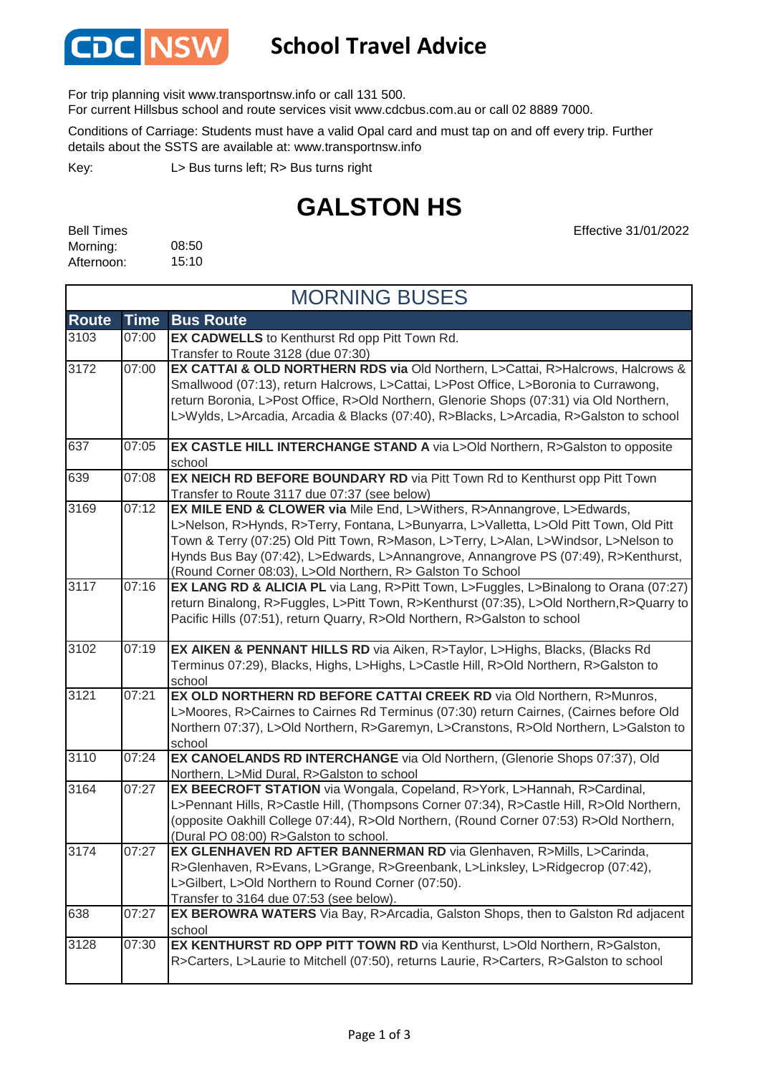

## **School Travel Advice**

For trip planning visit www.transportnsw.info or call 131 500.

For current Hillsbus school and route services visit www.cdcbus.com.au or call 02 8889 7000.

Conditions of Carriage: Students must have a valid Opal card and must tap on and off every trip. Further details about the SSTS are available at: www.transportnsw.info

L> Bus turns left; R> Bus turns right Key:

## **GALSTON HS**

08:50 15:10 Bell Times Morning: Afternoon:

Effective 31/01/2022

| <b>MORNING BUSES</b> |             |                                                                                                                                                                                              |  |  |
|----------------------|-------------|----------------------------------------------------------------------------------------------------------------------------------------------------------------------------------------------|--|--|
| <b>Route</b>         | <b>Time</b> | <b>Bus Route</b>                                                                                                                                                                             |  |  |
| 3103                 | 07:00       | EX CADWELLS to Kenthurst Rd opp Pitt Town Rd.                                                                                                                                                |  |  |
| 3172                 | 07:00       | Transfer to Route 3128 (due 07:30)<br>EX CATTAI & OLD NORTHERN RDS via Old Northern, L>Cattai, R>Halcrows, Halcrows &                                                                        |  |  |
|                      |             | Smallwood (07:13), return Halcrows, L>Cattai, L>Post Office, L>Boronia to Currawong,                                                                                                         |  |  |
|                      |             | return Boronia, L>Post Office, R>Old Northern, Glenorie Shops (07:31) via Old Northern,                                                                                                      |  |  |
|                      |             | L>Wylds, L>Arcadia, Arcadia & Blacks (07:40), R>Blacks, L>Arcadia, R>Galston to school                                                                                                       |  |  |
| 637                  | 07:05       | EX CASTLE HILL INTERCHANGE STAND A via L>Old Northern, R>Galston to opposite                                                                                                                 |  |  |
|                      |             | school                                                                                                                                                                                       |  |  |
| 639                  | 07:08       | EX NEICH RD BEFORE BOUNDARY RD via Pitt Town Rd to Kenthurst opp Pitt Town                                                                                                                   |  |  |
|                      |             | Transfer to Route 3117 due 07:37 (see below)                                                                                                                                                 |  |  |
| 3169                 | 07:12       | EX MILE END & CLOWER via Mile End, L>Withers, R>Annangrove, L>Edwards,                                                                                                                       |  |  |
|                      |             | L>Nelson, R>Hynds, R>Terry, Fontana, L>Bunyarra, L>Valletta, L>Old Pitt Town, Old Pitt                                                                                                       |  |  |
|                      |             | Town & Terry (07:25) Old Pitt Town, R>Mason, L>Terry, L>Alan, L>Windsor, L>Nelson to                                                                                                         |  |  |
|                      |             | Hynds Bus Bay (07:42), L>Edwards, L>Annangrove, Annangrove PS (07:49), R>Kenthurst,                                                                                                          |  |  |
| 3117                 | 07:16       | (Round Corner 08:03), L>Old Northern, R> Galston To School                                                                                                                                   |  |  |
|                      |             | <b>EX LANG RD &amp; ALICIA PL</b> via Lang, R>Pitt Town, L>Fuggles, L>Binalong to Orana (07:27)<br>return Binalong, R>Fuggles, L>Pitt Town, R>Kenthurst (07:35), L>Old Northern, R>Quarry to |  |  |
|                      |             | Pacific Hills (07:51), return Quarry, R>Old Northern, R>Galston to school                                                                                                                    |  |  |
|                      |             |                                                                                                                                                                                              |  |  |
| 3102                 | 07:19       | EX AIKEN & PENNANT HILLS RD via Aiken, R>Taylor, L>Highs, Blacks, (Blacks Rd)                                                                                                                |  |  |
|                      |             | Terminus 07:29), Blacks, Highs, L>Highs, L>Castle Hill, R>Old Northern, R>Galston to                                                                                                         |  |  |
|                      |             | school                                                                                                                                                                                       |  |  |
| 3121                 | 07:21       | EX OLD NORTHERN RD BEFORE CATTAI CREEK RD via Old Northern, R>Munros,                                                                                                                        |  |  |
|                      |             | L>Moores, R>Cairnes to Cairnes Rd Terminus (07:30) return Cairnes, (Cairnes before Old                                                                                                       |  |  |
|                      |             | Northern 07:37), L>Old Northern, R>Garemyn, L>Cranstons, R>Old Northern, L>Galston to                                                                                                        |  |  |
| 3110                 | 07:24       | school<br>EX CANOELANDS RD INTERCHANGE via Old Northern, (Glenorie Shops 07:37), Old                                                                                                         |  |  |
|                      |             | Northern, L>Mid Dural, R>Galston to school                                                                                                                                                   |  |  |
| 3164                 | 07:27       | EX BEECROFT STATION via Wongala, Copeland, R>York, L>Hannah, R>Cardinal,                                                                                                                     |  |  |
|                      |             | L>Pennant Hills, R>Castle Hill, (Thompsons Corner 07:34), R>Castle Hill, R>Old Northern,                                                                                                     |  |  |
|                      |             | (opposite Oakhill College 07:44), R>Old Northern, (Round Corner 07:53) R>Old Northern,                                                                                                       |  |  |
|                      |             | (Dural PO 08:00) R>Galston to school.                                                                                                                                                        |  |  |
| 3174                 | 07:27       | EX GLENHAVEN RD AFTER BANNERMAN RD via Glenhaven, R>Mills, L>Carinda,                                                                                                                        |  |  |
|                      |             | R>Glenhaven, R>Evans, L>Grange, R>Greenbank, L>Linksley, L>Ridgecrop (07:42),                                                                                                                |  |  |
|                      |             | L>Gilbert, L>Old Northern to Round Corner (07:50).                                                                                                                                           |  |  |
| 638                  | 07:27       | Transfer to 3164 due 07:53 (see below).                                                                                                                                                      |  |  |
|                      |             | EX BEROWRA WATERS Via Bay, R>Arcadia, Galston Shops, then to Galston Rd adjacent<br>school                                                                                                   |  |  |
| 3128                 | 07:30       | EX KENTHURST RD OPP PITT TOWN RD via Kenthurst, L>Old Northern, R>Galston,                                                                                                                   |  |  |
|                      |             | R>Carters, L>Laurie to Mitchell (07:50), returns Laurie, R>Carters, R>Galston to school                                                                                                      |  |  |
|                      |             |                                                                                                                                                                                              |  |  |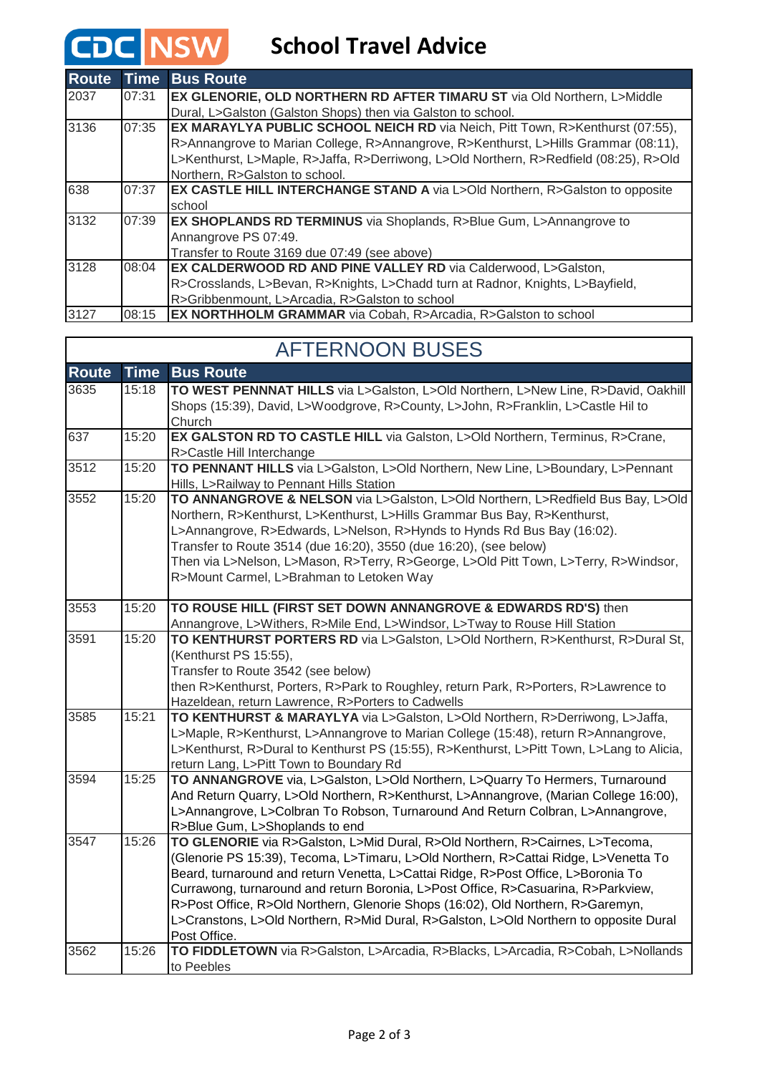## **CDC** NSW School Travel Advice

| <b>Route</b> | <b>Time</b> | <b>Bus Route</b>                                                                        |
|--------------|-------------|-----------------------------------------------------------------------------------------|
| 2037         | 07:31       | <b>EX GLENORIE, OLD NORTHERN RD AFTER TIMARU ST via Old Northern, L&gt;Middle</b>       |
|              |             | Dural, L>Galston (Galston Shops) then via Galston to school.                            |
| 3136         | 07:35       | <b>EX MARAYLYA PUBLIC SCHOOL NEICH RD via Neich, Pitt Town, R&gt;Kenthurst (07:55),</b> |
|              |             | R>Annangrove to Marian College, R>Annangrove, R>Kenthurst, L>Hills Grammar (08:11),     |
|              |             | L>Kenthurst, L>Maple, R>Jaffa, R>Derriwong, L>Old Northern, R>Redfield (08:25), R>Old   |
|              |             | Northern, R>Galston to school.                                                          |
| 638          | 07:37       | <b>EX CASTLE HILL INTERCHANGE STAND A</b> via L>Old Northern, R>Galston to opposite     |
|              |             | school                                                                                  |
| 3132         | 07:39       | <b>EX SHOPLANDS RD TERMINUS</b> via Shoplands, R>Blue Gum, L>Annangrove to              |
|              |             | Annangrove PS 07:49.                                                                    |
|              |             | Transfer to Route 3169 due 07:49 (see above)                                            |
| 3128         | 08:04       | <b>EX CALDERWOOD RD AND PINE VALLEY RD via Calderwood, L&gt;Galston,</b>                |
|              |             | R>Crosslands, L>Bevan, R>Knights, L>Chadd turn at Radnor, Knights, L>Bayfield,          |
|              |             | R>Gribbenmount, L>Arcadia, R>Galston to school                                          |
| 3127         | 08:15       | <b>EX NORTHHOLM GRAMMAR</b> via Cobah, R>Arcadia, R>Galston to school                   |

| <b>AFTERNOON BUSES</b> |             |                                                                                                                                                                                                                                                                                                                                                                                                                                                                                                                                           |  |  |
|------------------------|-------------|-------------------------------------------------------------------------------------------------------------------------------------------------------------------------------------------------------------------------------------------------------------------------------------------------------------------------------------------------------------------------------------------------------------------------------------------------------------------------------------------------------------------------------------------|--|--|
| <b>Route</b>           | <b>Time</b> | <b>Bus Route</b>                                                                                                                                                                                                                                                                                                                                                                                                                                                                                                                          |  |  |
| 3635                   | 15:18       | TO WEST PENNNAT HILLS via L>Galston, L>Old Northern, L>New Line, R>David, Oakhill<br>Shops (15:39), David, L>Woodgrove, R>County, L>John, R>Franklin, L>Castle Hil to<br>Church                                                                                                                                                                                                                                                                                                                                                           |  |  |
| 637                    | 15:20       | EX GALSTON RD TO CASTLE HILL via Galston, L>Old Northern, Terminus, R>Crane,<br>R>Castle Hill Interchange                                                                                                                                                                                                                                                                                                                                                                                                                                 |  |  |
| 3512                   | 15:20       | TO PENNANT HILLS via L>Galston, L>Old Northern, New Line, L>Boundary, L>Pennant<br>Hills, L>Railway to Pennant Hills Station                                                                                                                                                                                                                                                                                                                                                                                                              |  |  |
| 3552                   | 15:20       | TO ANNANGROVE & NELSON via L>Galston, L>Old Northern, L>Redfield Bus Bay, L>Old<br>Northern, R>Kenthurst, L>Kenthurst, L>Hills Grammar Bus Bay, R>Kenthurst,<br>L>Annangrove, R>Edwards, L>Nelson, R>Hynds to Hynds Rd Bus Bay (16:02).<br>Transfer to Route 3514 (due 16:20), 3550 (due 16:20), (see below)<br>Then via L>Nelson, L>Mason, R>Terry, R>George, L>Old Pitt Town, L>Terry, R>Windsor,<br>R>Mount Carmel, L>Brahman to Letoken Way                                                                                           |  |  |
| 3553                   | 15:20       | TO ROUSE HILL (FIRST SET DOWN ANNANGROVE & EDWARDS RD'S) then<br>Annangrove, L>Withers, R>Mile End, L>Windsor, L>Tway to Rouse Hill Station                                                                                                                                                                                                                                                                                                                                                                                               |  |  |
| 3591                   | 15:20       | TO KENTHURST PORTERS RD via L>Galston, L>Old Northern, R>Kenthurst, R>Dural St,<br>(Kenthurst PS 15:55),<br>Transfer to Route 3542 (see below)<br>then R>Kenthurst, Porters, R>Park to Roughley, return Park, R>Porters, R>Lawrence to<br>Hazeldean, return Lawrence, R>Porters to Cadwells                                                                                                                                                                                                                                               |  |  |
| 3585                   | 15:21       | TO KENTHURST & MARAYLYA via L>Galston, L>Old Northern, R>Derriwong, L>Jaffa,<br>L>Maple, R>Kenthurst, L>Annangrove to Marian College (15:48), return R>Annangrove,<br>L>Kenthurst, R>Dural to Kenthurst PS (15:55), R>Kenthurst, L>Pitt Town, L>Lang to Alicia,<br>return Lang, L>Pitt Town to Boundary Rd                                                                                                                                                                                                                                |  |  |
| 3594                   | 15:25       | TO ANNANGROVE via, L>Galston, L>Old Northern, L>Quarry To Hermers, Turnaround<br>And Return Quarry, L>Old Northern, R>Kenthurst, L>Annangrove, (Marian College 16:00),<br>L>Annangrove, L>Colbran To Robson, Turnaround And Return Colbran, L>Annangrove,<br>R>Blue Gum, L>Shoplands to end                                                                                                                                                                                                                                               |  |  |
| 3547                   | 15:26       | TO GLENORIE via R>Galston, L>Mid Dural, R>Old Northern, R>Cairnes, L>Tecoma,<br>(Glenorie PS 15:39), Tecoma, L>Timaru, L>Old Northern, R>Cattai Ridge, L>Venetta To<br>Beard, turnaround and return Venetta, L>Cattai Ridge, R>Post Office, L>Boronia To<br>Currawong, turnaround and return Boronia, L>Post Office, R>Casuarina, R>Parkview,<br>R>Post Office, R>Old Northern, Glenorie Shops (16:02), Old Northern, R>Garemyn,<br>L>Cranstons, L>Old Northern, R>Mid Dural, R>Galston, L>Old Northern to opposite Dural<br>Post Office. |  |  |
| 3562                   | 15:26       | TO FIDDLETOWN via R>Galston, L>Arcadia, R>Blacks, L>Arcadia, R>Cobah, L>Nollands<br>to Peebles                                                                                                                                                                                                                                                                                                                                                                                                                                            |  |  |